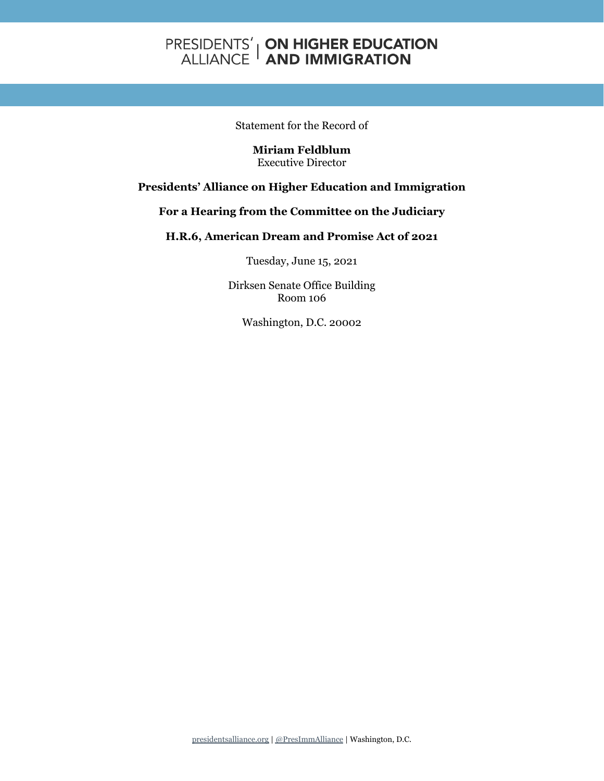## **PRESIDENTS' | ON HIGHER EDUCATION<br>ALLIANCE | AND IMMIGRATION**

Statement for the Record of

**Miriam Feldblum** Executive Director

## **Presidents' Alliance on Higher Education and Immigration**

## **For a Hearing from the Committee on the Judiciary**

## **H.R.6, American Dream and Promise Act of 2021**

Tuesday, June 15, 2021

Dirksen Senate Office Building Room 106

Washington, D.C. 20002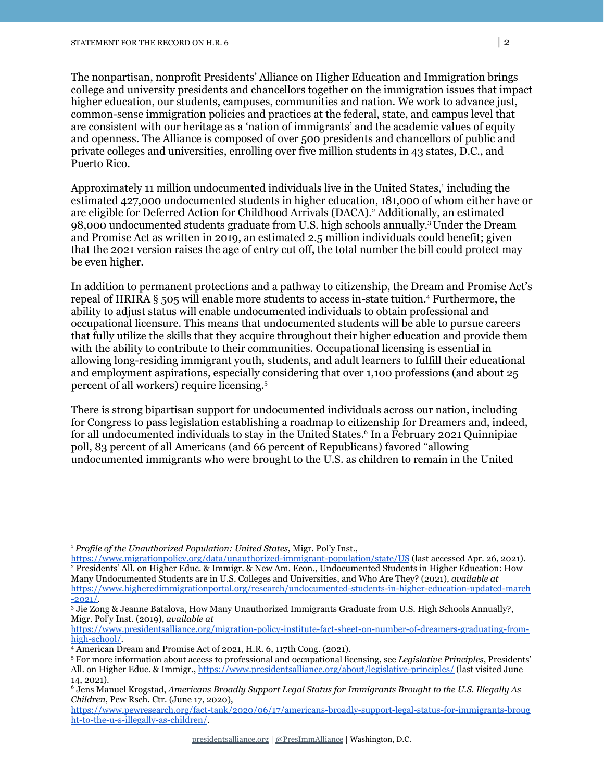The nonpartisan, nonprofit Presidents' Alliance on Higher Education and Immigration brings college and university presidents and chancellors together on the immigration issues that impact higher education, our students, campuses, communities and nation. We work to advance just, common-sense immigration policies and practices at the federal, state, and campus level that are consistent with our heritage as a 'nation of immigrants' and the academic values of equity and openness. The Alliance is composed of over 500 presidents and chancellors of public and private colleges and universities, enrolling over five million students in 43 states, D.C., and Puerto Rico.

Approximately 11 million undocumented individuals live in the United States,<sup>1</sup> including the estimated 427,000 undocumented students in higher education, 181,000 of whom either have or are eligible for Deferred Action for Childhood Arrivals (DACA). <sup>2</sup> Additionally, an estimated 98,000 undocumented students graduate from U.S. high schools annually. <sup>3</sup>Under the Dream and Promise Act as written in 2019, an estimated 2.5 million individuals could benefit; given that the 2021 version raises the age of entry cut off, the total number the bill could protect may be even higher.

In addition to permanent protections and a pathway to citizenship, the Dream and Promise Act's repeal of IIRIRA § 505 will enable more students to access in-state tuition. <sup>4</sup> Furthermore, the ability to adjust status will enable undocumented individuals to obtain professional and occupational licensure. This means that undocumented students will be able to pursue careers that fully utilize the skills that they acquire throughout their higher education and provide them with the ability to contribute to their communities. Occupational licensing is essential in allowing long-residing immigrant youth, students, and adult learners to fulfill their educational and employment aspirations, especially considering that over 1,100 professions (and about 25 percent of all workers) require licensing. 5

There is strong bipartisan support for undocumented individuals across our nation, including for Congress to pass legislation establishing a roadmap to citizenship for Dreamers and, indeed, for all undocumented individuals to stay in the United States. <sup>6</sup> In a February 2021 Quinnipiac poll, 83 percent of all Americans (and 66 percent of Republicans) favored "allowing undocumented immigrants who were brought to the U.S. as children to remain in the United

<sup>1</sup> *Profile of the Unauthorized Population: United States*, Migr. Pol'y Inst.,

<sup>2</sup> Presidents' All. on Higher Educ. & Immigr. & New Am. Econ., Undocumented Students in Higher Education: How Many Undocumented Students are in U.S. Colleges and Universities, and Who Are They? (2021), *available at* [https://www.higheredimmigrationportal.org/research/undocumented-students-in-higher-education-updated-march](https://www.higheredimmigrationportal.org/research/undocumented-students-in-higher-education-updated-march-2021/)  $-2021/$ . <https://www.migrationpolicy.org/data/unauthorized-immigrant-population/state/US> (last accessed Apr. 26, 2021).

<sup>3</sup> Jie Zong & Jeanne Batalova, How Many Unauthorized Immigrants Graduate from U.S. High Schools Annually?, Migr. Pol'y Inst. (2019), *available at*

[https://www.presidentsalliance.org/migration-policy-institute-fact-sheet-on-number-of-dreamers-graduating-from](https://www.presidentsalliance.org/migration-policy-institute-fact-sheet-on-number-of-dreamers-graduating-from-high-school/)[high-school/.](https://www.presidentsalliance.org/migration-policy-institute-fact-sheet-on-number-of-dreamers-graduating-from-high-school/)

<sup>4</sup> American Dream and Promise Act of 2021, H.R. 6, 117th Cong. (2021).

<sup>5</sup> For more information about access to professional and occupational licensing, see *Legislative Principles*, Presidents' All. on Higher Educ. & Immigr., <https://www.presidentsalliance.org/about/legislative-principles/> (last visited June 14, 2021).

<sup>6</sup> Jens Manuel Krogstad, *Americans Broadly Support Legal Status for Immigrants Brought to the U.S. Illegally As Children*, Pew Rsch. Ctr. (June 17, 2020),

[https://www.pewresearch.org/fact-tank/2020/06/17/americans-broadly-support-legal-status-for-immigrants-broug](https://www.pewresearch.org/fact-tank/2020/06/17/americans-broadly-support-legal-status-for-immigrants-brought-to-the-u-s-illegally-as-children/) [ht-to-the-u-s-illegally-as-children/](https://www.pewresearch.org/fact-tank/2020/06/17/americans-broadly-support-legal-status-for-immigrants-brought-to-the-u-s-illegally-as-children/).